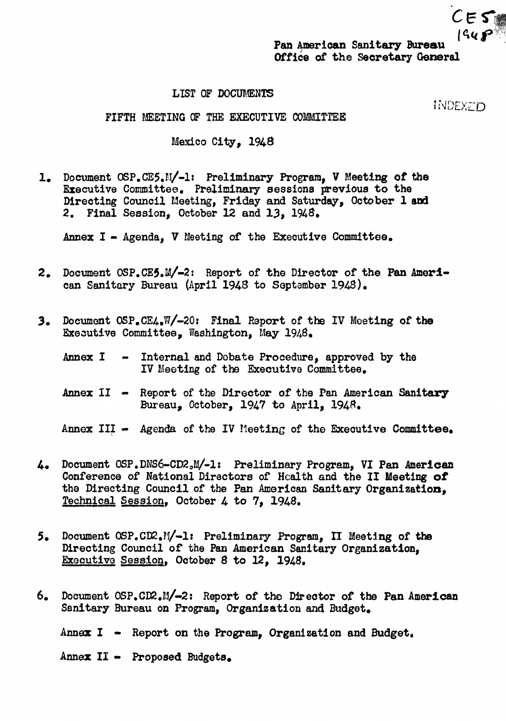

**INDEXTO** 

LIST OF DOCUMENTS

FIFTH MEETING OF THE EXECUTIVE COMMITTEE

Mexico City, 1948

1. Document OSP.CE5.M/-1: Preliminary Program. V Meeting of the Executive Committee. Preliminary sessions previous to the Directing Council Meeting, Friday and Saturday, October 1 and 2. Final Session. October 12 and 13. 1948.

Annex I - Agenda. V Meeting of the Executive Committee.

- 2. Document OSP.CE5.M/-2: Report of the Director of the Pan American Sanitary Bureau (April 1948 to September 1948).
- 3. Document OSP.CE4.W/-20: Final Report of the IV Meeting of the Executive Committee. Washington. May 1948.
	- Annex I Internal and Debate Procedure, approved by the  $\sim 100$ IV Meeting of the Executive Committee.
	- Annex II Report of the Director of the Pan American Sanitary Bureau, October, 1947 to April, 1948.
	- Annex III Agenda of the IV Meeting of the Executive Committee.
- 4. Document OSP.DNS6-CD2,M/-1: Preliminary Program, VI Pan American Conference of National Directors of Health and the II Meeting of the Directing Council of the Pan American Sanitary Organization. Technical Session. October 4 to 7. 1948.
- Document OSP.CD2.M/-1: Preliminary Program, II Meeting of the  $5.$ Directing Council of the Pan American Sanitary Organization, Executive Session, October 8 to 12, 1948.
- Document OSP.CD2.M/-2: Report of the Director of the Pan American 6. Sanitary Bureau on Program, Organization and Budget.

Annex I - Report on the Program, Organization and Budget.

Annex II - Proposed Budgets.